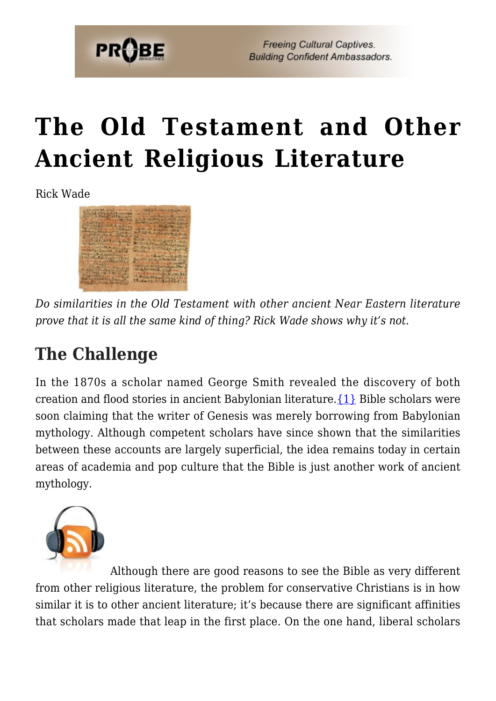

**Freeing Cultural Captives. Building Confident Ambassadors.** 

# **[The Old Testament and Other](https://probe.org/the-old-testament-and-other-ancient-religious-literature/) [Ancient Religious Literature](https://probe.org/the-old-testament-and-other-ancient-religious-literature/)**

Rick Wade



*Do similarities in the Old Testament with other ancient Near Eastern literature prove that it is all the same kind of thing? Rick Wade shows why it's not.*

## **The Challenge**

In the 1870s a scholar named George Smith revealed the discovery of both creation and flood stories in ancient Babylonian literature[.{1}](#page-7-0) Bible scholars were soon claiming that the writer of Genesis was merely borrowing from Babylonian mythology. Although competent scholars have since shown that the similarities between these accounts are largely superficial, the idea remains today in certain areas of academia and pop culture that the Bible is just another work of ancient mythology.



Although there are good reasons to see the Bible as very different from other religious literature, the problem for conservative Christians is in how similar it is to other ancient literature; it's because there are significant affinities that scholars made that leap in the first place. On the one hand, liberal scholars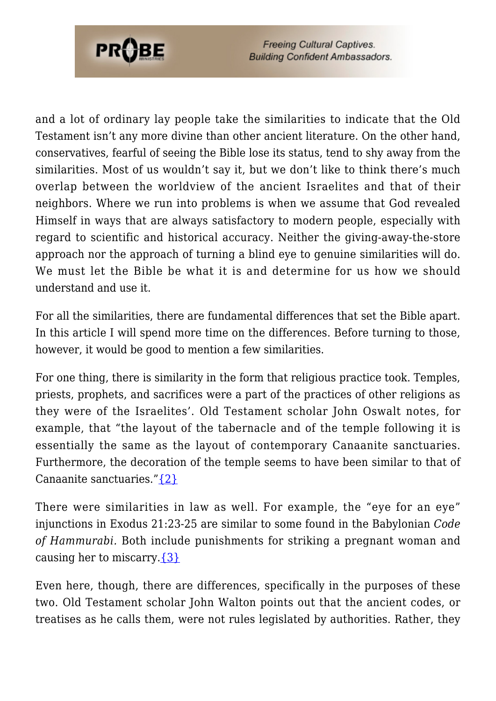

**Freeing Cultural Captives. Building Confident Ambassadors.** 

and a lot of ordinary lay people take the similarities to indicate that the Old Testament isn't any more divine than other ancient literature. On the other hand, conservatives, fearful of seeing the Bible lose its status, tend to shy away from the similarities. Most of us wouldn't say it, but we don't like to think there's much overlap between the worldview of the ancient Israelites and that of their neighbors. Where we run into problems is when we assume that God revealed Himself in ways that are always satisfactory to modern people, especially with regard to scientific and historical accuracy. Neither the giving-away-the-store approach nor the approach of turning a blind eye to genuine similarities will do. We must let the Bible be what it is and determine for us how we should understand and use it.

For all the similarities, there are fundamental differences that set the Bible apart. In this article I will spend more time on the differences. Before turning to those, however, it would be good to mention a few similarities.

For one thing, there is similarity in the form that religious practice took. Temples, priests, prophets, and sacrifices were a part of the practices of other religions as they were of the Israelites'. Old Testament scholar John Oswalt notes, for example, that "the layout of the tabernacle and of the temple following it is essentially the same as the layout of contemporary Canaanite sanctuaries. Furthermore, the decoration of the temple seems to have been similar to that of Canaanite sanctuaries." {2}

There were similarities in law as well. For example, the "eye for an eye" injunctions in Exodus 21:23-25 are similar to some found in the Babylonian *Code of Hammurabi.* Both include punishments for striking a pregnant woman and causing her to miscarry. $\{3\}$ 

Even here, though, there are differences, specifically in the purposes of these two. Old Testament scholar John Walton points out that the ancient codes, or treatises as he calls them, were not rules legislated by authorities. Rather, they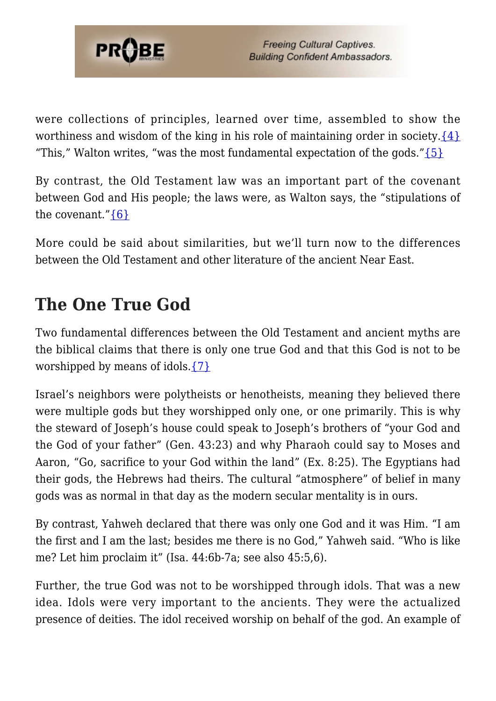

were collections of principles, learned over time, assembled to show the worthiness and wisdom of the king in his role of maintaining order in society. $\{4\}$ "This," Walton writes, "was the most fundamental expectation of the gods." $\{5\}$ 

By contrast, the Old Testament law was an important part of the covenant between God and His people; the laws were, as Walton says, the "stipulations of the covenant." $\{6\}$ 

More could be said about similarities, but we'll turn now to the differences between the Old Testament and other literature of the ancient Near East.

### **The One True God**

Two fundamental differences between the Old Testament and ancient myths are the biblical claims that there is only one true God and that this God is not to be worshipped by means of idols. $\{7\}$ 

Israel's neighbors were polytheists or henotheists, meaning they believed there were multiple gods but they worshipped only one, or one primarily. This is why the steward of Joseph's house could speak to Joseph's brothers of "your God and the God of your father" (Gen. 43:23) and why Pharaoh could say to Moses and Aaron, "Go, sacrifice to your God within the land" (Ex. 8:25). The Egyptians had their gods, the Hebrews had theirs. The cultural "atmosphere" of belief in many gods was as normal in that day as the modern secular mentality is in ours.

By contrast, Yahweh declared that there was only one God and it was Him. "I am the first and I am the last; besides me there is no God," Yahweh said. "Who is like me? Let him proclaim it" (Isa. 44:6b-7a; see also 45:5,6).

Further, the true God was not to be worshipped through idols. That was a new idea. Idols were very important to the ancients. They were the actualized presence of deities. The idol received worship on behalf of the god. An example of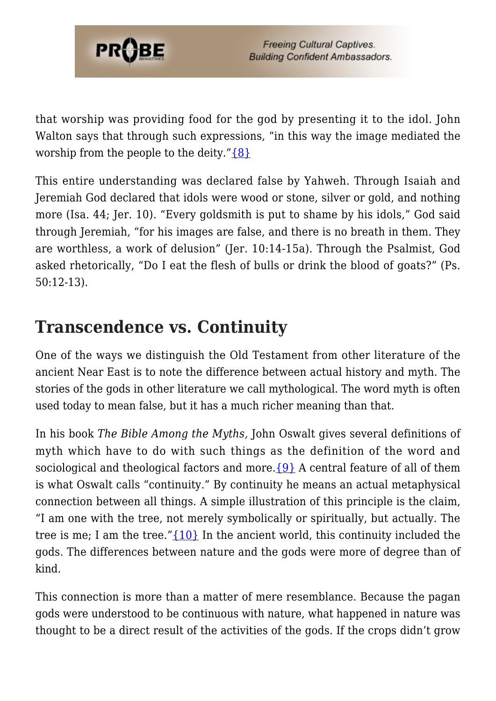

that worship was providing food for the god by presenting it to the idol. John Walton says that through such expressions, "in this way the image mediated the worship from the people to the deity." $\{8\}$ 

This entire understanding was declared false by Yahweh. Through Isaiah and Jeremiah God declared that idols were wood or stone, silver or gold, and nothing more (Isa. 44; Jer. 10). "Every goldsmith is put to shame by his idols," God said through Jeremiah, "for his images are false, and there is no breath in them. They are worthless, a work of delusion" (Jer. 10:14-15a). Through the Psalmist, God asked rhetorically, "Do I eat the flesh of bulls or drink the blood of goats?" (Ps. 50:12-13).

#### **Transcendence vs. Continuity**

One of the ways we distinguish the Old Testament from other literature of the ancient Near East is to note the difference between actual history and myth. The stories of the gods in other literature we call mythological. The word myth is often used today to mean false, but it has a much richer meaning than that.

In his book *The Bible Among the Myths,* John Oswalt gives several definitions of myth which have to do with such things as the definition of the word and sociological and theological factors and more. $\{9\}$  A central feature of all of them is what Oswalt calls "continuity." By continuity he means an actual metaphysical connection between all things. A simple illustration of this principle is the claim, "I am one with the tree, not merely symbolically or spiritually, but actually. The tree is me; I am the tree." $\{10\}$  In the ancient world, this continuity included the gods. The differences between nature and the gods were more of degree than of kind.

This connection is more than a matter of mere resemblance. Because the pagan gods were understood to be continuous with nature, what happened in nature was thought to be a direct result of the activities of the gods. If the crops didn't grow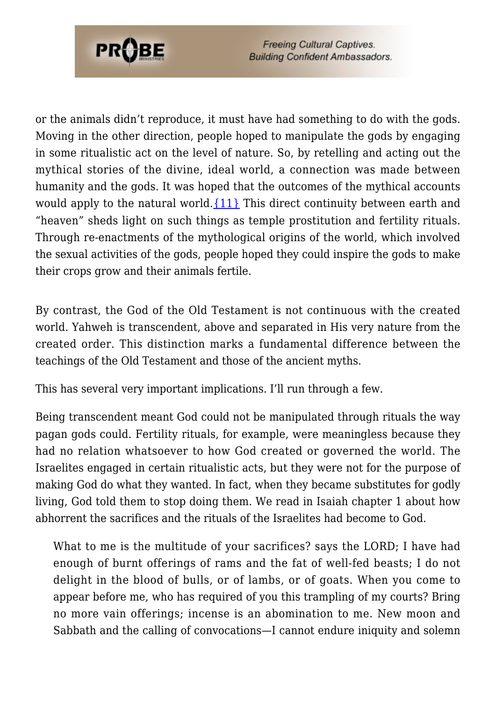

or the animals didn't reproduce, it must have had something to do with the gods. Moving in the other direction, people hoped to manipulate the gods by engaging in some ritualistic act on the level of nature. So, by retelling and acting out the mythical stories of the divine, ideal world, a connection was made between humanity and the gods. It was hoped that the outcomes of the mythical accounts would apply to the natural world. $\{11\}$  This direct continuity between earth and "heaven" sheds light on such things as temple prostitution and fertility rituals. Through re-enactments of the mythological origins of the world, which involved the sexual activities of the gods, people hoped they could inspire the gods to make their crops grow and their animals fertile.

By contrast, the God of the Old Testament is not continuous with the created world. Yahweh is transcendent, above and separated in His very nature from the created order. This distinction marks a fundamental difference between the teachings of the Old Testament and those of the ancient myths.

This has several very important implications. I'll run through a few.

Being transcendent meant God could not be manipulated through rituals the way pagan gods could. Fertility rituals, for example, were meaningless because they had no relation whatsoever to how God created or governed the world. The Israelites engaged in certain ritualistic acts, but they were not for the purpose of making God do what they wanted. In fact, when they became substitutes for godly living, God told them to stop doing them. We read in Isaiah chapter 1 about how abhorrent the sacrifices and the rituals of the Israelites had become to God.

What to me is the multitude of your sacrifices? says the LORD; I have had enough of burnt offerings of rams and the fat of well-fed beasts; I do not delight in the blood of bulls, or of lambs, or of goats. When you come to appear before me, who has required of you this trampling of my courts? Bring no more vain offerings; incense is an abomination to me. New moon and Sabbath and the calling of convocations—I cannot endure iniquity and solemn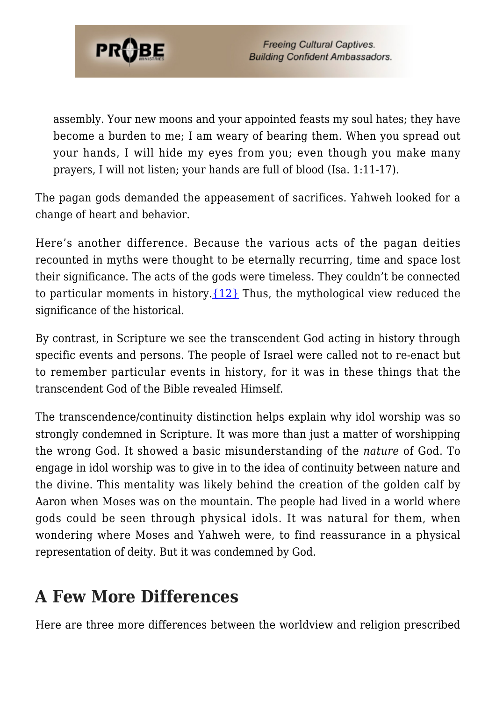

assembly. Your new moons and your appointed feasts my soul hates; they have become a burden to me; I am weary of bearing them. When you spread out your hands, I will hide my eyes from you; even though you make many prayers, I will not listen; your hands are full of blood (Isa. 1:11-17).

The pagan gods demanded the appeasement of sacrifices. Yahweh looked for a change of heart and behavior.

Here's another difference. Because the various acts of the pagan deities recounted in myths were thought to be eternally recurring, time and space lost their significance. The acts of the gods were timeless. They couldn't be connected to particular moments in history.[{12}](#page-7-11) Thus, the mythological view reduced the significance of the historical.

By contrast, in Scripture we see the transcendent God acting in history through specific events and persons. The people of Israel were called not to re-enact but to remember particular events in history, for it was in these things that the transcendent God of the Bible revealed Himself.

The transcendence/continuity distinction helps explain why idol worship was so strongly condemned in Scripture. It was more than just a matter of worshipping the wrong God. It showed a basic misunderstanding of the *nature* of God. To engage in idol worship was to give in to the idea of continuity between nature and the divine. This mentality was likely behind the creation of the golden calf by Aaron when Moses was on the mountain. The people had lived in a world where gods could be seen through physical idols. It was natural for them, when wondering where Moses and Yahweh were, to find reassurance in a physical representation of deity. But it was condemned by God.

#### **A Few More Differences**

Here are three more differences between the worldview and religion prescribed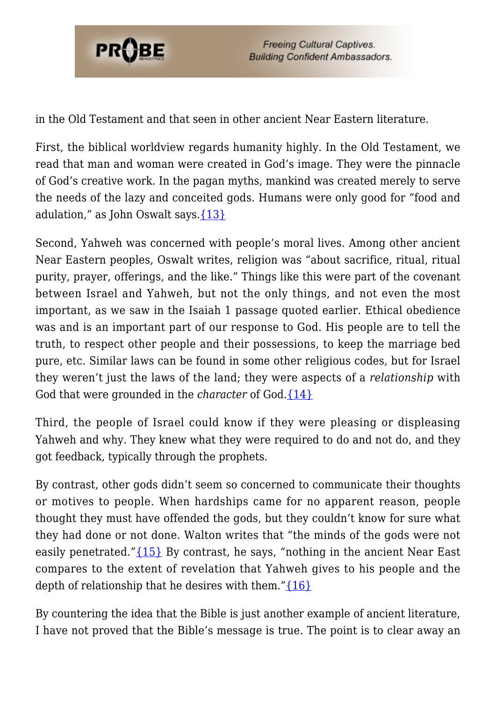

**Freeing Cultural Captives. Building Confident Ambassadors.** 

in the Old Testament and that seen in other ancient Near Eastern literature.

First, the biblical worldview regards humanity highly. In the Old Testament, we read that man and woman were created in God's image. They were the pinnacle of God's creative work. In the pagan myths, mankind was created merely to serve the needs of the lazy and conceited gods. Humans were only good for "food and adulation," as John Oswalt says. $\{13\}$ 

Second, Yahweh was concerned with people's moral lives. Among other ancient Near Eastern peoples, Oswalt writes, religion was "about sacrifice, ritual, ritual purity, prayer, offerings, and the like." Things like this were part of the covenant between Israel and Yahweh, but not the only things, and not even the most important, as we saw in the Isaiah 1 passage quoted earlier. Ethical obedience was and is an important part of our response to God. His people are to tell the truth, to respect other people and their possessions, to keep the marriage bed pure, etc. Similar laws can be found in some other religious codes, but for Israel they weren't just the laws of the land; they were aspects of a *relationship* with God that were grounded in the *character* of God.[{14}](#page-7-13)

Third, the people of Israel could know if they were pleasing or displeasing Yahweh and why. They knew what they were required to do and not do, and they got feedback, typically through the prophets.

By contrast, other gods didn't seem so concerned to communicate their thoughts or motives to people. When hardships came for no apparent reason, people thought they must have offended the gods, but they couldn't know for sure what they had done or not done. Walton writes that "the minds of the gods were not easily penetrated." $\{15\}$  By contrast, he says, "nothing in the ancient Near East compares to the extent of revelation that Yahweh gives to his people and the depth of relationship that he desires with them." $\{16\}$ 

By countering the idea that the Bible is just another example of ancient literature, I have not proved that the Bible's message is true. The point is to clear away an